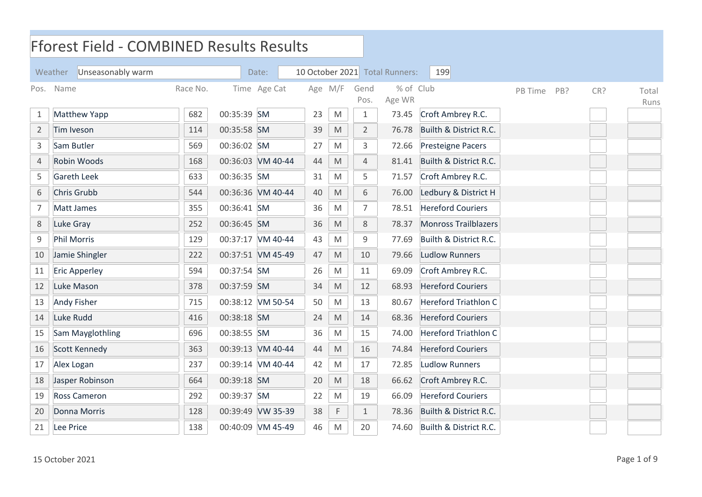|                | <b>Fforest Field - COMBINED Results Results</b> |          |             |                   |         |                                                                                                            |                |           |                             |         |     |     |       |
|----------------|-------------------------------------------------|----------|-------------|-------------------|---------|------------------------------------------------------------------------------------------------------------|----------------|-----------|-----------------------------|---------|-----|-----|-------|
|                | Unseasonably warm<br>Weather                    |          |             | Date:             |         | 10 October 2021 Total Runners:                                                                             | 199            |           |                             |         |     |     |       |
| Pos.           | Name                                            | Race No. |             | Time Age Cat      | Age M/F |                                                                                                            | Gend           | % of Club |                             | PB Time | PB? | CR? | Total |
|                |                                                 |          |             |                   |         |                                                                                                            | Pos.           | Age WR    |                             |         |     |     | Runs  |
| 1              | <b>Matthew Yapp</b>                             | 682      | 00:35:39 SM |                   | 23      | M                                                                                                          | $1\,$          | 73.45     | Croft Ambrey R.C.           |         |     |     |       |
| $\overline{2}$ | Tim Iveson                                      | 114      | 00:35:58 SM |                   | 39      | $\mathsf{M}% _{T}=\mathsf{M}_{T}\!\left( a,b\right) ,\ \mathsf{M}_{T}=\mathsf{M}_{T}\!\left( a,b\right) ,$ | $\overline{2}$ | 76.78     | Builth & District R.C.      |         |     |     |       |
| 3              | Sam Butler                                      | 569      | 00:36:02 SM |                   | 27      | M                                                                                                          | 3              | 72.66     | <b>Presteigne Pacers</b>    |         |     |     |       |
| $\sqrt{4}$     | Robin Woods                                     | 168      |             | 00:36:03 VM 40-44 | 44      | M                                                                                                          | $\overline{4}$ | 81.41     | Builth & District R.C.      |         |     |     |       |
| 5              | <b>Gareth Leek</b>                              | 633      | 00:36:35 SM |                   | 31      | M                                                                                                          | 5              | 71.57     | Croft Ambrey R.C.           |         |     |     |       |
| 6              | Chris Grubb                                     | 544      |             | 00:36:36 VM 40-44 | 40      | M                                                                                                          | 6              | 76.00     | Ledbury & District H        |         |     |     |       |
| $\overline{7}$ | Matt James                                      | 355      | 00:36:41 SM |                   | 36      | M                                                                                                          | $\overline{7}$ | 78.51     | <b>Hereford Couriers</b>    |         |     |     |       |
| $\,8\,$        | Luke Gray                                       | 252      | 00:36:45 SM |                   | 36      | M                                                                                                          | $\,8\,$        | 78.37     | <b>Monross Trailblazers</b> |         |     |     |       |
| 9              | <b>Phil Morris</b>                              | 129      |             | 00:37:17 VM 40-44 | 43      | M                                                                                                          | 9              | 77.69     | Builth & District R.C.      |         |     |     |       |
| 10             | Jamie Shingler                                  | 222      |             | 00:37:51 VM 45-49 | 47      | M                                                                                                          | 10             | 79.66     | <b>Ludlow Runners</b>       |         |     |     |       |
| 11             | <b>Eric Apperley</b>                            | 594      | 00:37:54 SM |                   | 26      | M                                                                                                          | 11             | 69.09     | Croft Ambrey R.C.           |         |     |     |       |
| 12             | Luke Mason                                      | 378      | 00:37:59 SM |                   | 34      | M                                                                                                          | 12             | 68.93     | <b>Hereford Couriers</b>    |         |     |     |       |
| 13             | <b>Andy Fisher</b>                              | 715      |             | 00:38:12 VM 50-54 | 50      | M                                                                                                          | 13             | 80.67     | <b>Hereford Triathlon C</b> |         |     |     |       |
| 14             | Luke Rudd                                       | 416      | 00:38:18 SM |                   | 24      | $\mathsf{M}% _{T}=\mathsf{M}_{T}\!\left( a,b\right) ,\ \mathsf{M}_{T}=\mathsf{M}_{T}\!\left( a,b\right) ,$ | 14             | 68.36     | <b>Hereford Couriers</b>    |         |     |     |       |
| 15             | Sam Mayglothling                                | 696      | 00:38:55 SM |                   | 36      | M                                                                                                          | 15             | 74.00     | <b>Hereford Triathlon C</b> |         |     |     |       |
| 16             | Scott Kennedy                                   | 363      |             | 00:39:13 VM 40-44 | 44      | M                                                                                                          | 16             | 74.84     | <b>Hereford Couriers</b>    |         |     |     |       |
| 17             | Alex Logan                                      | 237      |             | 00:39:14 VM 40-44 | 42      | M                                                                                                          | 17             | 72.85     | <b>Ludlow Runners</b>       |         |     |     |       |
| 18             | Jasper Robinson                                 | 664      | 00:39:18 SM |                   | 20      | M                                                                                                          | 18             | 66.62     | Croft Ambrey R.C.           |         |     |     |       |
| 19             | Ross Cameron                                    | 292      | 00:39:37 SM |                   | 22      | M                                                                                                          | 19             | 66.09     | <b>Hereford Couriers</b>    |         |     |     |       |
| 20             | Donna Morris                                    | 128      |             | 00:39:49 VW 35-39 | 38      | F                                                                                                          | $\mathbf{1}$   | 78.36     | Builth & District R.C.      |         |     |     |       |
| 21             | Lee Price                                       | 138      |             | 00:40:09 VM 45-49 | 46      | M                                                                                                          | 20             | 74.60     | Builth & District R.C.      |         |     |     |       |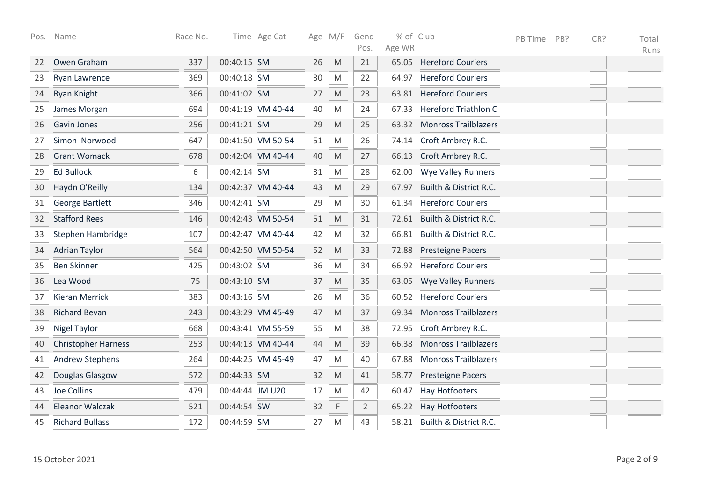| Pos. | Name                       | Race No. |                 | Time Age Cat      |    | Age M/F                                                                                                    | Gend<br>Pos.   | % of Club<br>Age WR |                             | PB Time | PB? | CR? | Total<br>Runs |
|------|----------------------------|----------|-----------------|-------------------|----|------------------------------------------------------------------------------------------------------------|----------------|---------------------|-----------------------------|---------|-----|-----|---------------|
| 22   | Owen Graham                | 337      | 00:40:15 SM     |                   | 26 | $\mathsf{M}% _{T}=\mathsf{M}_{T}\!\left( a,b\right) ,\ \mathsf{M}_{T}=\mathsf{M}_{T}\!\left( a,b\right) ,$ | 21             | 65.05               | <b>Hereford Couriers</b>    |         |     |     |               |
| 23   | Ryan Lawrence              | 369      | 00:40:18 SM     |                   | 30 | $\mathsf{M}% _{T}=\mathsf{M}_{T}\!\left( a,b\right) ,\ \mathsf{M}_{T}=\mathsf{M}_{T}\!\left( a,b\right) ,$ | 22             | 64.97               | <b>Hereford Couriers</b>    |         |     |     |               |
| 24   | Ryan Knight                | 366      | 00:41:02 SM     |                   | 27 | M                                                                                                          | 23             | 63.81               | <b>Hereford Couriers</b>    |         |     |     |               |
| 25   | James Morgan               | 694      |                 | 00:41:19 VM 40-44 | 40 | M                                                                                                          | 24             | 67.33               | <b>Hereford Triathlon C</b> |         |     |     |               |
| 26   | Gavin Jones                | 256      | 00:41:21 SM     |                   | 29 | $\mathsf{M}% _{T}=\mathsf{M}_{T}\!\left( a,b\right) ,\ \mathsf{M}_{T}=\mathsf{M}_{T}\!\left( a,b\right) ,$ | 25             | 63.32               | <b>Monross Trailblazers</b> |         |     |     |               |
| 27   | Simon Norwood              | 647      |                 | 00:41:50 VM 50-54 | 51 | $\mathsf{M}% _{T}=\mathsf{M}_{T}\!\left( a,b\right) ,\ \mathsf{M}_{T}=\mathsf{M}_{T}\!\left( a,b\right) ,$ | 26             | 74.14               | Croft Ambrey R.C.           |         |     |     |               |
| 28   | <b>Grant Womack</b>        | 678      |                 | 00:42:04 VM 40-44 | 40 | $\mathsf{M}% _{T}=\mathsf{M}_{T}\!\left( a,b\right) ,\ \mathsf{M}_{T}=\mathsf{M}_{T}\!\left( a,b\right) ,$ | 27             | 66.13               | Croft Ambrey R.C.           |         |     |     |               |
| 29   | <b>Ed Bullock</b>          | 6        | 00:42:14 SM     |                   | 31 | $\mathsf{M}% _{T}=\mathsf{M}_{T}\!\left( a,b\right) ,\ \mathsf{M}_{T}=\mathsf{M}_{T}\!\left( a,b\right) ,$ | 28             | 62.00               | <b>Wye Valley Runners</b>   |         |     |     |               |
| 30   | Haydn O'Reilly             | 134      |                 | 00:42:37 VM 40-44 | 43 | M                                                                                                          | 29             | 67.97               | Builth & District R.C.      |         |     |     |               |
| 31   | <b>George Bartlett</b>     | 346      | 00:42:41 SM     |                   | 29 | M                                                                                                          | 30             | 61.34               | <b>Hereford Couriers</b>    |         |     |     |               |
| 32   | <b>Stafford Rees</b>       | 146      |                 | 00:42:43 VM 50-54 | 51 | $\mathsf{M}% _{T}=\mathsf{M}_{T}\!\left( a,b\right) ,\ \mathsf{M}_{T}=\mathsf{M}_{T}\!\left( a,b\right) ,$ | 31             | 72.61               | Builth & District R.C.      |         |     |     |               |
| 33   | Stephen Hambridge          | 107      |                 | 00:42:47 VM 40-44 | 42 | $\mathsf{M}% _{T}=\mathsf{M}_{T}\!\left( a,b\right) ,\ \mathsf{M}_{T}=\mathsf{M}_{T}\!\left( a,b\right) ,$ | 32             | 66.81               | Builth & District R.C.      |         |     |     |               |
| 34   | <b>Adrian Taylor</b>       | 564      |                 | 00:42:50 VM 50-54 | 52 | $\mathsf{M}% _{T}=\mathsf{M}_{T}\!\left( a,b\right) ,\ \mathsf{M}_{T}=\mathsf{M}_{T}\!\left( a,b\right) ,$ | 33             | 72.88               | <b>Presteigne Pacers</b>    |         |     |     |               |
| 35   | <b>Ben Skinner</b>         | 425      | 00:43:02 SM     |                   | 36 | $\mathsf{M}% _{T}=\mathsf{M}_{T}\!\left( a,b\right) ,\ \mathsf{M}_{T}=\mathsf{M}_{T}\!\left( a,b\right) ,$ | 34             | 66.92               | <b>Hereford Couriers</b>    |         |     |     |               |
| 36   | Lea Wood                   | 75       | 00:43:10 SM     |                   | 37 | $\mathsf{M}% _{T}=\mathsf{M}_{T}\!\left( a,b\right) ,\ \mathsf{M}_{T}=\mathsf{M}_{T}\!\left( a,b\right) ,$ | 35             | 63.05               | <b>Wye Valley Runners</b>   |         |     |     |               |
| 37   | <b>Kieran Merrick</b>      | 383      | 00:43:16 SM     |                   | 26 | M                                                                                                          | 36             | 60.52               | <b>Hereford Couriers</b>    |         |     |     |               |
| 38   | <b>Richard Bevan</b>       | 243      |                 | 00:43:29 VM 45-49 | 47 | M                                                                                                          | 37             | 69.34               | <b>Monross Trailblazers</b> |         |     |     |               |
| 39   | <b>Nigel Taylor</b>        | 668      |                 | 00:43:41 VM 55-59 | 55 | $\mathsf{M}% _{T}=\mathsf{M}_{T}\!\left( a,b\right) ,\ \mathsf{M}_{T}=\mathsf{M}_{T}\!\left( a,b\right) ,$ | 38             | 72.95               | Croft Ambrey R.C.           |         |     |     |               |
| 40   | <b>Christopher Harness</b> | 253      |                 | 00:44:13 VM 40-44 | 44 | $\mathsf{M}% _{T}=\mathsf{M}_{T}\!\left( a,b\right) ,\ \mathsf{M}_{T}=\mathsf{M}_{T}\!\left( a,b\right) ,$ | 39             | 66.38               | <b>Monross Trailblazers</b> |         |     |     |               |
| 41   | <b>Andrew Stephens</b>     | 264      |                 | 00:44:25 VM 45-49 | 47 | M                                                                                                          | 40             | 67.88               | <b>Monross Trailblazers</b> |         |     |     |               |
| 42   | Douglas Glasgow            | 572      | 00:44:33 SM     |                   | 32 | $\mathsf{M}% _{T}=\mathsf{M}_{T}\!\left( a,b\right) ,\ \mathsf{M}_{T}=\mathsf{M}_{T}\!\left( a,b\right) ,$ | 41             | 58.77               | <b>Presteigne Pacers</b>    |         |     |     |               |
| 43   | Joe Collins                | 479      | 00:44:44 JM U20 |                   | 17 | M                                                                                                          | 42             | 60.47               | <b>Hay Hotfooters</b>       |         |     |     |               |
| 44   | Eleanor Walczak            | 521      | 00:44:54 SW     |                   | 32 | $\mathsf F$                                                                                                | $\overline{2}$ | 65.22               | <b>Hay Hotfooters</b>       |         |     |     |               |
| 45   | <b>Richard Bullass</b>     | 172      | 00:44:59 SM     |                   | 27 | $\mathsf{M}% _{T}=\mathsf{M}_{T}\!\left( a,b\right) ,\ \mathsf{M}_{T}=\mathsf{M}_{T}\!\left( a,b\right) ,$ | 43             | 58.21               | Builth & District R.C.      |         |     |     |               |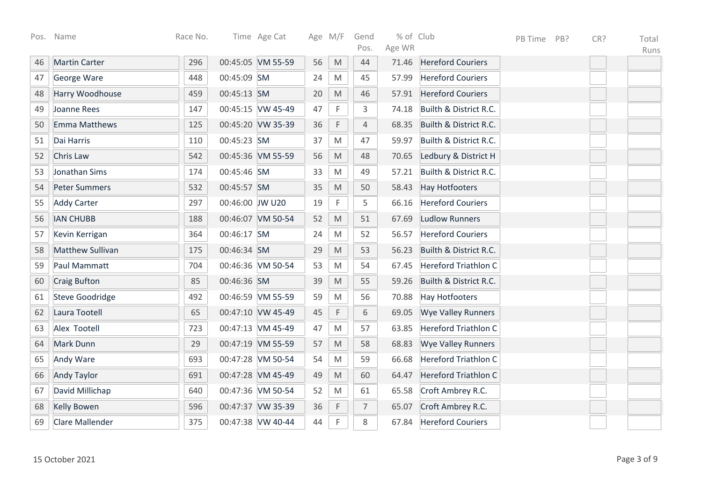| Pos. | Name                   | Race No. |                 | Time Age Cat      |    | Age M/F                                                                                                    | Gend<br>Pos.   | % of Club<br>Age WR |                             | PB Time | PB? | CR? | Total<br>Runs |
|------|------------------------|----------|-----------------|-------------------|----|------------------------------------------------------------------------------------------------------------|----------------|---------------------|-----------------------------|---------|-----|-----|---------------|
| 46   | <b>Martin Carter</b>   | 296      |                 | 00:45:05 VM 55-59 | 56 | M                                                                                                          | 44             | 71.46               | <b>Hereford Couriers</b>    |         |     |     |               |
| 47   | George Ware            | 448      | 00:45:09 SM     |                   | 24 | M                                                                                                          | 45             | 57.99               | <b>Hereford Couriers</b>    |         |     |     |               |
| 48   | Harry Woodhouse        | 459      | 00:45:13 SM     |                   | 20 | $\mathsf{M}% _{T}=\mathsf{M}_{T}\!\left( a,b\right) ,\ \mathsf{M}_{T}=\mathsf{M}_{T}\!\left( a,b\right) ,$ | 46             | 57.91               | <b>Hereford Couriers</b>    |         |     |     |               |
| 49   | Joanne Rees            | 147      |                 | 00:45:15 VW 45-49 | 47 | F                                                                                                          | 3              | 74.18               | Builth & District R.C.      |         |     |     |               |
| 50   | Emma Matthews          | 125      |                 | 00:45:20 VW 35-39 | 36 | F                                                                                                          | $\overline{4}$ | 68.35               | Builth & District R.C.      |         |     |     |               |
| 51   | Dai Harris             | 110      | 00:45:23 SM     |                   | 37 | M                                                                                                          | 47             | 59.97               | Builth & District R.C.      |         |     |     |               |
| 52   | Chris Law              | 542      |                 | 00:45:36 VM 55-59 | 56 | M                                                                                                          | 48             | 70.65               | Ledbury & District H        |         |     |     |               |
| 53   | Jonathan Sims          | 174      | 00:45:46 SM     |                   | 33 | M                                                                                                          | 49             | 57.21               | Builth & District R.C.      |         |     |     |               |
| 54   | <b>Peter Summers</b>   | 532      | 00:45:57 SM     |                   | 35 | M                                                                                                          | 50             | 58.43               | <b>Hay Hotfooters</b>       |         |     |     |               |
| 55   | <b>Addy Carter</b>     | 297      | 00:46:00 JW U20 |                   | 19 | F                                                                                                          | 5              | 66.16               | <b>Hereford Couriers</b>    |         |     |     |               |
| 56   | <b>IAN CHUBB</b>       | 188      |                 | 00:46:07 VM 50-54 | 52 | M                                                                                                          | 51             | 67.69               | <b>Ludlow Runners</b>       |         |     |     |               |
| 57   | Kevin Kerrigan         | 364      | 00:46:17 SM     |                   | 24 | M                                                                                                          | 52             | 56.57               | <b>Hereford Couriers</b>    |         |     |     |               |
| 58   | Matthew Sullivan       | 175      | 00:46:34 SM     |                   | 29 | $\mathsf{M}% _{T}=\mathsf{M}_{T}\!\left( a,b\right) ,\ \mathsf{M}_{T}=\mathsf{M}_{T}\!\left( a,b\right) ,$ | 53             | 56.23               | Builth & District R.C.      |         |     |     |               |
| 59   | Paul Mammatt           | 704      |                 | 00:46:36 VM 50-54 | 53 | M                                                                                                          | 54             | 67.45               | <b>Hereford Triathlon C</b> |         |     |     |               |
| 60   | Craig Bufton           | 85       | 00:46:36 SM     |                   | 39 | M                                                                                                          | 55             | 59.26               | Builth & District R.C.      |         |     |     |               |
| 61   | <b>Steve Goodridge</b> | 492      |                 | 00:46:59 VM 55-59 | 59 | M                                                                                                          | 56             | 70.88               | <b>Hay Hotfooters</b>       |         |     |     |               |
| 62   | Laura Tootell          | 65       |                 | 00:47:10 VW 45-49 | 45 | $\mathsf F$                                                                                                | 6              | 69.05               | <b>Wye Valley Runners</b>   |         |     |     |               |
| 63   | Alex Tootell           | 723      |                 | 00:47:13 VM 45-49 | 47 | M                                                                                                          | 57             | 63.85               | <b>Hereford Triathlon C</b> |         |     |     |               |
| 64   | Mark Dunn              | 29       |                 | 00:47:19 VM 55-59 | 57 | M                                                                                                          | 58             | 68.83               | <b>Wye Valley Runners</b>   |         |     |     |               |
| 65   | Andy Ware              | 693      |                 | 00:47:28 VM 50-54 | 54 | M                                                                                                          | 59             | 66.68               | <b>Hereford Triathlon C</b> |         |     |     |               |
| 66   | <b>Andy Taylor</b>     | 691      |                 | 00:47:28 VM 45-49 | 49 | M                                                                                                          | 60             | 64.47               | <b>Hereford Triathlon C</b> |         |     |     |               |
| 67   | David Millichap        | 640      |                 | 00:47:36 VM 50-54 | 52 | M                                                                                                          | 61             | 65.58               | Croft Ambrey R.C.           |         |     |     |               |
| 68   | <b>Kelly Bowen</b>     | 596      |                 | 00:47:37 VW 35-39 | 36 | F                                                                                                          | 7              | 65.07               | Croft Ambrey R.C.           |         |     |     |               |
| 69   | Clare Mallender        | 375      |                 | 00:47:38 VW 40-44 | 44 | $\mathsf F$                                                                                                | 8              | 67.84               | <b>Hereford Couriers</b>    |         |     |     |               |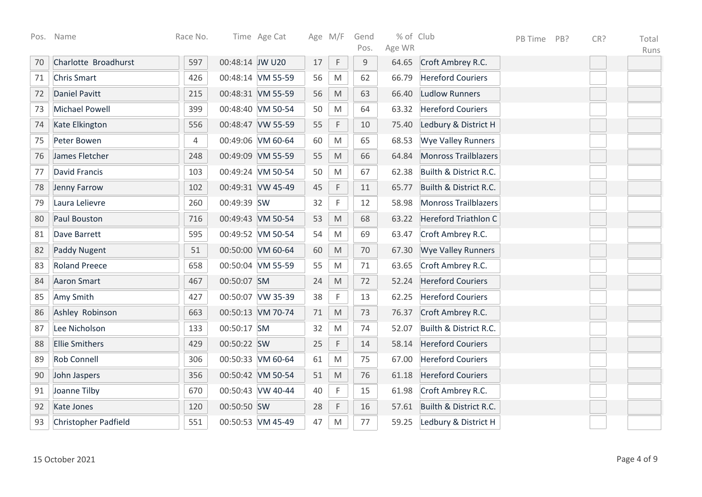| Pos. | Name                        | Race No. |                 | Time Age Cat      |    | Age M/F                                                                                                    | Gend<br>Pos. | % of Club<br>Age WR |                             | PB Time | PB? | CR? | Total<br>Runs |
|------|-----------------------------|----------|-----------------|-------------------|----|------------------------------------------------------------------------------------------------------------|--------------|---------------------|-----------------------------|---------|-----|-----|---------------|
| 70   | Charlotte Broadhurst        | 597      | 00:48:14 JW U20 |                   | 17 | F                                                                                                          | $9\,$        | 64.65               | Croft Ambrey R.C.           |         |     |     |               |
| 71   | <b>Chris Smart</b>          | 426      |                 | 00:48:14 VM 55-59 | 56 | M                                                                                                          | 62           | 66.79               | <b>Hereford Couriers</b>    |         |     |     |               |
| 72   | Daniel Pavitt               | 215      |                 | 00:48:31 VM 55-59 | 56 | $\mathsf{M}% _{T}=\mathsf{M}_{T}\!\left( a,b\right) ,\ \mathsf{M}_{T}=\mathsf{M}_{T}\!\left( a,b\right) ,$ | 63           | 66.40               | <b>Ludlow Runners</b>       |         |     |     |               |
| 73   | <b>Michael Powell</b>       | 399      |                 | 00:48:40 VM 50-54 | 50 | M                                                                                                          | 64           | 63.32               | <b>Hereford Couriers</b>    |         |     |     |               |
| 74   | Kate Elkington              | 556      |                 | 00:48:47 VW 55-59 | 55 | F                                                                                                          | 10           | 75.40               | Ledbury & District H        |         |     |     |               |
| 75   | Peter Bowen                 | 4        |                 | 00:49:06 VM 60-64 | 60 | M                                                                                                          | 65           | 68.53               | <b>Wye Valley Runners</b>   |         |     |     |               |
| 76   | James Fletcher              | 248      |                 | 00:49:09 VM 55-59 | 55 | M                                                                                                          | 66           | 64.84               | <b>Monross Trailblazers</b> |         |     |     |               |
| 77   | <b>David Francis</b>        | 103      |                 | 00:49:24 VM 50-54 | 50 | M                                                                                                          | 67           | 62.38               | Builth & District R.C.      |         |     |     |               |
| 78   | Jenny Farrow                | 102      |                 | 00:49:31 VW 45-49 | 45 | F                                                                                                          | 11           | 65.77               | Builth & District R.C.      |         |     |     |               |
| 79   | Laura Lelievre              | 260      | 00:49:39 SW     |                   | 32 | F                                                                                                          | 12           | 58.98               | <b>Monross Trailblazers</b> |         |     |     |               |
| 80   | Paul Bouston                | 716      |                 | 00:49:43 VM 50-54 | 53 | M                                                                                                          | 68           | 63.22               | Hereford Triathlon C        |         |     |     |               |
| 81   | Dave Barrett                | 595      |                 | 00:49:52 VM 50-54 | 54 | $\mathsf{M}% _{T}=\mathsf{M}_{T}\!\left( a,b\right) ,\ \mathsf{M}_{T}=\mathsf{M}_{T}\!\left( a,b\right) ,$ | 69           | 63.47               | Croft Ambrey R.C.           |         |     |     |               |
| 82   | <b>Paddy Nugent</b>         | 51       |                 | 00:50:00 VM 60-64 | 60 | $\mathsf{M}% _{T}=\mathsf{M}_{T}\!\left( a,b\right) ,\ \mathsf{M}_{T}=\mathsf{M}_{T}\!\left( a,b\right) ,$ | 70           | 67.30               | <b>Wye Valley Runners</b>   |         |     |     |               |
| 83   | <b>Roland Preece</b>        | 658      |                 | 00:50:04 VM 55-59 | 55 | ${\sf M}$                                                                                                  | 71           | 63.65               | Croft Ambrey R.C.           |         |     |     |               |
| 84   | <b>Aaron Smart</b>          | 467      | 00:50:07 SM     |                   | 24 | $\mathsf{M}% _{T}=\mathsf{M}_{T}\!\left( a,b\right) ,\ \mathsf{M}_{T}=\mathsf{M}_{T}\!\left( a,b\right) ,$ | 72           | 52.24               | <b>Hereford Couriers</b>    |         |     |     |               |
| 85   | Amy Smith                   | 427      |                 | 00:50:07 VW 35-39 | 38 | F                                                                                                          | 13           | 62.25               | <b>Hereford Couriers</b>    |         |     |     |               |
| 86   | Ashley Robinson             | 663      |                 | 00:50:13 VM 70-74 | 71 | $\mathsf{M}% _{T}=\mathsf{M}_{T}\!\left( a,b\right) ,\ \mathsf{M}_{T}=\mathsf{M}_{T}\!\left( a,b\right) ,$ | 73           | 76.37               | Croft Ambrey R.C.           |         |     |     |               |
| 87   | Lee Nicholson               | 133      | 00:50:17 SM     |                   | 32 | M                                                                                                          | 74           | 52.07               | Builth & District R.C.      |         |     |     |               |
| 88   | <b>Ellie Smithers</b>       | 429      | 00:50:22 SW     |                   | 25 | F                                                                                                          | 14           | 58.14               | <b>Hereford Couriers</b>    |         |     |     |               |
| 89   | <b>Rob Connell</b>          | 306      |                 | 00:50:33 VM 60-64 | 61 | M                                                                                                          | 75           | 67.00               | <b>Hereford Couriers</b>    |         |     |     |               |
| 90   | John Jaspers                | 356      |                 | 00:50:42 VM 50-54 | 51 | M                                                                                                          | 76           | 61.18               | <b>Hereford Couriers</b>    |         |     |     |               |
| 91   | Joanne Tilby                | 670      |                 | 00:50:43 VW 40-44 | 40 | F                                                                                                          | 15           | 61.98               | Croft Ambrey R.C.           |         |     |     |               |
| 92   | <b>Kate Jones</b>           | 120      | 00:50:50 SW     |                   | 28 | F                                                                                                          | 16           | 57.61               | Builth & District R.C.      |         |     |     |               |
| 93   | <b>Christopher Padfield</b> | 551      |                 | 00:50:53 VM 45-49 | 47 | M                                                                                                          | 77           | 59.25               | Ledbury & District H        |         |     |     |               |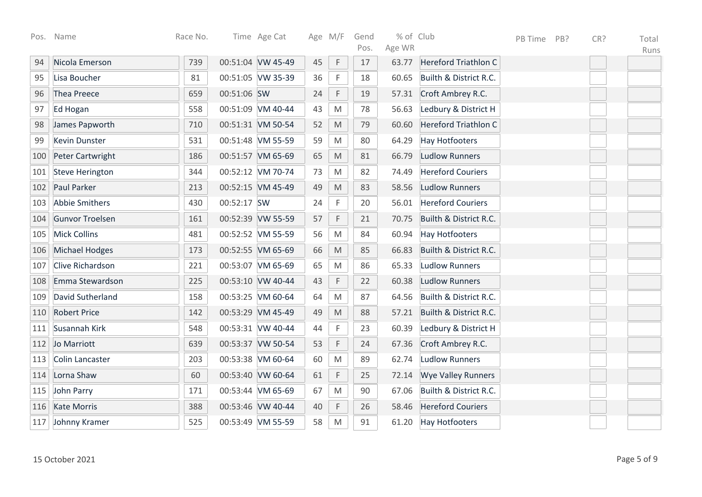| Pos. | Name                   | Race No. |             | Time Age Cat      |    | Age M/F                                                                                                    | Gend | % of Club |                             | PB Time | PB? | CR? | Total |
|------|------------------------|----------|-------------|-------------------|----|------------------------------------------------------------------------------------------------------------|------|-----------|-----------------------------|---------|-----|-----|-------|
|      |                        |          |             |                   |    |                                                                                                            | Pos. | Age WR    |                             |         |     |     | Runs  |
| 94   | Nicola Emerson         | 739      |             | 00:51:04 VW 45-49 | 45 | $\mathsf F$                                                                                                | 17   | 63.77     | Hereford Triathlon C        |         |     |     |       |
| 95   | Lisa Boucher           | 81       |             | 00:51:05 VW 35-39 | 36 | F                                                                                                          | 18   | 60.65     | Builth & District R.C.      |         |     |     |       |
| 96   | Thea Preece            | 659      | 00:51:06 SW |                   | 24 | $\mathsf F$                                                                                                | 19   | 57.31     | Croft Ambrey R.C.           |         |     |     |       |
| 97   | Ed Hogan               | 558      |             | 00:51:09 VM 40-44 | 43 | M                                                                                                          | 78   | 56.63     | Ledbury & District H        |         |     |     |       |
| 98   | James Papworth         | 710      |             | 00:51:31 VM 50-54 | 52 | $\mathsf{M}% _{T}=\mathsf{M}_{T}\!\left( a,b\right) ,\ \mathsf{M}_{T}=\mathsf{M}_{T}\!\left( a,b\right) ,$ | 79   | 60.60     | <b>Hereford Triathlon C</b> |         |     |     |       |
| 99   | <b>Kevin Dunster</b>   | 531      |             | 00:51:48 VM 55-59 | 59 | $\mathsf{M}% _{T}=\mathsf{M}_{T}\!\left( a,b\right) ,\ \mathsf{M}_{T}=\mathsf{M}_{T}\!\left( a,b\right) ,$ | 80   | 64.29     | <b>Hay Hotfooters</b>       |         |     |     |       |
| 100  | Peter Cartwright       | 186      |             | 00:51:57 VM 65-69 | 65 | $\mathsf{M}% _{T}=\mathsf{M}_{T}\!\left( a,b\right) ,\ \mathsf{M}_{T}=\mathsf{M}_{T}\!\left( a,b\right) ,$ | 81   | 66.79     | <b>Ludlow Runners</b>       |         |     |     |       |
| 101  | <b>Steve Herington</b> | 344      |             | 00:52:12 VM 70-74 | 73 | $\mathsf{M}% _{T}=\mathsf{M}_{T}\!\left( a,b\right) ,\ \mathsf{M}_{T}=\mathsf{M}_{T}\!\left( a,b\right) ,$ | 82   | 74.49     | <b>Hereford Couriers</b>    |         |     |     |       |
| 102  | Paul Parker            | 213      |             | 00:52:15 VM 45-49 | 49 | $\mathsf{M}% _{T}=\mathsf{M}_{T}\!\left( a,b\right) ,\ \mathsf{M}_{T}=\mathsf{M}_{T}\!\left( a,b\right) ,$ | 83   | 58.56     | <b>Ludlow Runners</b>       |         |     |     |       |
| 103  | <b>Abbie Smithers</b>  | 430      | 00:52:17 SW |                   | 24 | F                                                                                                          | 20   | 56.01     | <b>Hereford Couriers</b>    |         |     |     |       |
| 104  | <b>Gunvor Troelsen</b> | 161      |             | 00:52:39 VW 55-59 | 57 | F                                                                                                          | 21   | 70.75     | Builth & District R.C.      |         |     |     |       |
| 105  | <b>Mick Collins</b>    | 481      |             | 00:52:52 VM 55-59 | 56 | M                                                                                                          | 84   | 60.94     | <b>Hay Hotfooters</b>       |         |     |     |       |
| 106  | Michael Hodges         | 173      |             | 00:52:55 VM 65-69 | 66 | $\mathsf{M}% _{T}=\mathsf{M}_{T}\!\left( a,b\right) ,\ \mathsf{M}_{T}=\mathsf{M}_{T}\!\left( a,b\right) ,$ | 85   | 66.83     | Builth & District R.C.      |         |     |     |       |
| 107  | Clive Richardson       | 221      |             | 00:53:07 VM 65-69 | 65 | $\mathsf{M}% _{T}=\mathsf{M}_{T}\!\left( a,b\right) ,\ \mathsf{M}_{T}=\mathsf{M}_{T}\!\left( a,b\right) ,$ | 86   | 65.33     | <b>Ludlow Runners</b>       |         |     |     |       |
| 108  | Emma Stewardson        | 225      |             | 00:53:10 VW 40-44 | 43 | $\mathsf F$                                                                                                | 22   | 60.38     | <b>Ludlow Runners</b>       |         |     |     |       |
| 109  | David Sutherland       | 158      |             | 00:53:25 VM 60-64 | 64 | $\mathsf{M}% _{T}=\mathsf{M}_{T}\!\left( a,b\right) ,\ \mathsf{M}_{T}=\mathsf{M}_{T}\!\left( a,b\right) ,$ | 87   | 64.56     | Builth & District R.C.      |         |     |     |       |
| 110  | <b>Robert Price</b>    | 142      |             | 00:53:29 VM 45-49 | 49 | $\mathsf{M}% _{T}=\mathsf{M}_{T}\!\left( a,b\right) ,\ \mathsf{M}_{T}=\mathsf{M}_{T}\!\left( a,b\right) ,$ | 88   | 57.21     | Builth & District R.C.      |         |     |     |       |
| 111  | Susannah Kirk          | 548      |             | 00:53:31 VW 40-44 | 44 | $\mathsf F$                                                                                                | 23   | 60.39     | Ledbury & District H        |         |     |     |       |
| 112  | Jo Marriott            | 639      |             | 00:53:37 VW 50-54 | 53 | $\mathsf F$                                                                                                | 24   | 67.36     | Croft Ambrey R.C.           |         |     |     |       |
| 113  | <b>Colin Lancaster</b> | 203      |             | 00:53:38 VM 60-64 | 60 | M                                                                                                          | 89   | 62.74     | <b>Ludlow Runners</b>       |         |     |     |       |
| 114  | Lorna Shaw             | 60       |             | 00:53:40 VW 60-64 | 61 | $\mathsf F$                                                                                                | 25   | 72.14     | <b>Wye Valley Runners</b>   |         |     |     |       |
| 115  | John Parry             | 171      |             | 00:53:44 VM 65-69 | 67 | M                                                                                                          | 90   | 67.06     | Builth & District R.C.      |         |     |     |       |
| 116  | <b>Kate Morris</b>     | 388      |             | 00:53:46 VW 40-44 | 40 | $\mathsf F$                                                                                                | 26   | 58.46     | <b>Hereford Couriers</b>    |         |     |     |       |
| 117  | Johnny Kramer          | 525      |             | 00:53:49 VM 55-59 | 58 | $\mathsf{M}% _{T}=\mathsf{M}_{T}\!\left( a,b\right) ,\ \mathsf{M}_{T}=\mathsf{M}_{T}\!\left( a,b\right) ,$ | 91   |           | 61.20 Hay Hotfooters        |         |     |     |       |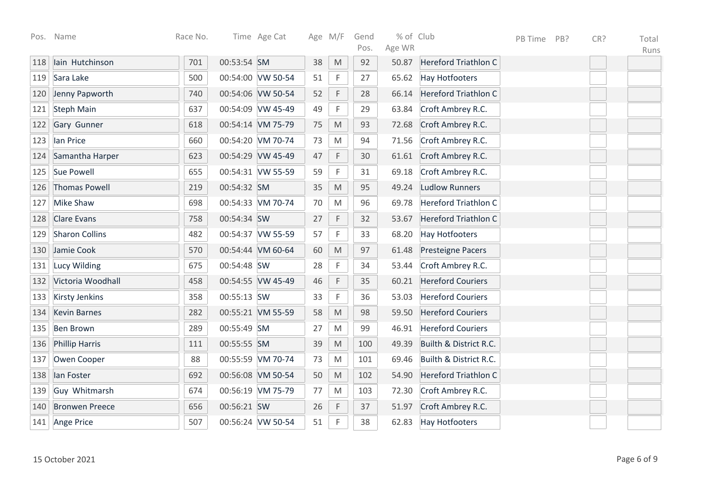|     | Pos. Name             | Race No. |             | Time Age Cat      |    | Age M/F                                                                                                    | Gend<br>Pos. | % of Club<br>Age WR |                             | PB Time | PB? | CR? | Total<br>Runs |
|-----|-----------------------|----------|-------------|-------------------|----|------------------------------------------------------------------------------------------------------------|--------------|---------------------|-----------------------------|---------|-----|-----|---------------|
| 118 | lain Hutchinson       | 701      | 00:53:54 SM |                   | 38 | $\mathsf{M}% _{T}=\mathsf{M}_{T}\!\left( a,b\right) ,\ \mathsf{M}_{T}=\mathsf{M}_{T}\!\left( a,b\right) ,$ | 92           | 50.87               | Hereford Triathlon C        |         |     |     |               |
| 119 | Sara Lake             | 500      |             | 00:54:00 VW 50-54 | 51 | F                                                                                                          | 27           | 65.62               | <b>Hay Hotfooters</b>       |         |     |     |               |
| 120 | Jenny Papworth        | 740      |             | 00:54:06 VW 50-54 | 52 | F                                                                                                          | 28           | 66.14               | Hereford Triathlon C        |         |     |     |               |
| 121 | <b>Steph Main</b>     | 637      |             | 00:54:09 VW 45-49 | 49 | F                                                                                                          | 29           | 63.84               | Croft Ambrey R.C.           |         |     |     |               |
| 122 | Gary Gunner           | 618      |             | 00:54:14 VM 75-79 | 75 | $\mathsf{M}% _{T}=\mathsf{M}_{T}\!\left( a,b\right) ,\ \mathsf{M}_{T}=\mathsf{M}_{T}\!\left( a,b\right) ,$ | 93           | 72.68               | Croft Ambrey R.C.           |         |     |     |               |
| 123 | lan Price             | 660      |             | 00:54:20 VM 70-74 | 73 | $\mathsf{M}% _{T}=\mathsf{M}_{T}\!\left( a,b\right) ,\ \mathsf{M}_{T}=\mathsf{M}_{T}\!\left( a,b\right) ,$ | 94           | 71.56               | Croft Ambrey R.C.           |         |     |     |               |
| 124 | Samantha Harper       | 623      |             | 00:54:29 VW 45-49 | 47 | F                                                                                                          | 30           | 61.61               | Croft Ambrey R.C.           |         |     |     |               |
| 125 | <b>Sue Powell</b>     | 655      |             | 00:54:31 VW 55-59 | 59 | $\mathsf F$                                                                                                | 31           | 69.18               | Croft Ambrey R.C.           |         |     |     |               |
| 126 | <b>Thomas Powell</b>  | 219      | 00:54:32 SM |                   | 35 | M                                                                                                          | 95           | 49.24               | <b>Ludlow Runners</b>       |         |     |     |               |
| 127 | <b>Mike Shaw</b>      | 698      |             | 00:54:33 VM 70-74 | 70 | M                                                                                                          | 96           | 69.78               | <b>Hereford Triathlon C</b> |         |     |     |               |
| 128 | <b>Clare Evans</b>    | 758      | 00:54:34 SW |                   | 27 | F                                                                                                          | 32           | 53.67               | <b>Hereford Triathlon C</b> |         |     |     |               |
| 129 | <b>Sharon Collins</b> | 482      |             | 00:54:37 VW 55-59 | 57 | $\mathsf F$                                                                                                | 33           | 68.20               | <b>Hay Hotfooters</b>       |         |     |     |               |
| 130 | Jamie Cook            | 570      |             | 00:54:44 VM 60-64 | 60 | $\mathsf{M}% _{T}=\mathsf{M}_{T}\!\left( a,b\right) ,\ \mathsf{M}_{T}=\mathsf{M}_{T}\!\left( a,b\right) ,$ | 97           | 61.48               | <b>Presteigne Pacers</b>    |         |     |     |               |
| 131 | <b>Lucy Wilding</b>   | 675      | 00:54:48 SW |                   | 28 | F                                                                                                          | 34           | 53.44               | Croft Ambrey R.C.           |         |     |     |               |
| 132 | Victoria Woodhall     | 458      |             | 00:54:55 VW 45-49 | 46 | F                                                                                                          | 35           | 60.21               | <b>Hereford Couriers</b>    |         |     |     |               |
| 133 | <b>Kirsty Jenkins</b> | 358      | 00:55:13 SW |                   | 33 | F                                                                                                          | 36           | 53.03               | <b>Hereford Couriers</b>    |         |     |     |               |
| 134 | <b>Kevin Barnes</b>   | 282      |             | 00:55:21 VM 55-59 | 58 | $\mathsf{M}% _{T}=\mathsf{M}_{T}\!\left( a,b\right) ,\ \mathsf{M}_{T}=\mathsf{M}_{T}\!\left( a,b\right) ,$ | 98           | 59.50               | <b>Hereford Couriers</b>    |         |     |     |               |
| 135 | <b>Ben Brown</b>      | 289      | 00:55:49 SM |                   | 27 | $\mathsf{M}% _{T}=\mathsf{M}_{T}\!\left( a,b\right) ,\ \mathsf{M}_{T}=\mathsf{M}_{T}\!\left( a,b\right) ,$ | 99           | 46.91               | <b>Hereford Couriers</b>    |         |     |     |               |
| 136 | <b>Phillip Harris</b> | 111      | 00:55:55 SM |                   | 39 | $\mathsf{M}% _{T}=\mathsf{M}_{T}\!\left( a,b\right) ,\ \mathsf{M}_{T}=\mathsf{M}_{T}\!\left( a,b\right) ,$ | 100          | 49.39               | Builth & District R.C.      |         |     |     |               |
| 137 | Owen Cooper           | 88       |             | 00:55:59 VM 70-74 | 73 | M                                                                                                          | 101          | 69.46               | Builth & District R.C.      |         |     |     |               |
| 138 | lan Foster            | 692      |             | 00:56:08 VM 50-54 | 50 | M                                                                                                          | 102          | 54.90               | <b>Hereford Triathlon C</b> |         |     |     |               |
| 139 | Guy Whitmarsh         | 674      |             | 00:56:19 VM 75-79 | 77 | M                                                                                                          | 103          | 72.30               | Croft Ambrey R.C.           |         |     |     |               |
| 140 | <b>Bronwen Preece</b> | 656      | 00:56:21 SW |                   | 26 | $\mathsf F$                                                                                                | 37           | 51.97               | Croft Ambrey R.C.           |         |     |     |               |
| 141 | Ange Price            | 507      |             | 00:56:24 VW 50-54 | 51 | $\mathsf{F}$                                                                                               | 38           | 62.83               | <b>Hay Hotfooters</b>       |         |     |     |               |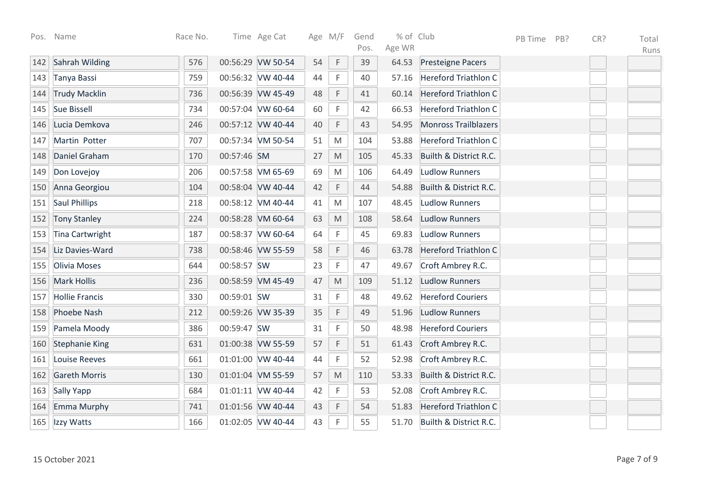| Pos. | Name                   | Race No. |             | Time Age Cat      |    | Age M/F                                                                                                    | Gend       | % of Club<br>Age WR |                             | PB Time | PB? | CR? | Total |
|------|------------------------|----------|-------------|-------------------|----|------------------------------------------------------------------------------------------------------------|------------|---------------------|-----------------------------|---------|-----|-----|-------|
|      | Sahrah Wilding         | 576      |             | 00:56:29 VW 50-54 | 54 | $\mathsf F$                                                                                                | Pos.<br>39 | 64.53               |                             |         |     |     | Runs  |
| 142  |                        |          |             |                   |    |                                                                                                            |            |                     | <b>Presteigne Pacers</b>    |         |     |     |       |
| 143  | Tanya Bassi            | 759      |             | 00:56:32 VW 40-44 | 44 | F                                                                                                          | 40         | 57.16               | <b>Hereford Triathlon C</b> |         |     |     |       |
| 144  | <b>Trudy Macklin</b>   | 736      |             | 00:56:39 VW 45-49 | 48 | $\mathsf F$                                                                                                | 41         | 60.14               | <b>Hereford Triathlon C</b> |         |     |     |       |
| 145  | <b>Sue Bissell</b>     | 734      |             | 00:57:04 VW 60-64 | 60 | $\mathsf F$                                                                                                | 42         | 66.53               | <b>Hereford Triathlon C</b> |         |     |     |       |
| 146  | Lucia Demkova          | 246      |             | 00:57:12 VW 40-44 | 40 | $\mathsf F$                                                                                                | 43         | 54.95               | <b>Monross Trailblazers</b> |         |     |     |       |
| 147  | Martin Potter          | 707      |             | 00:57:34 VM 50-54 | 51 | M                                                                                                          | 104        | 53.88               | <b>Hereford Triathlon C</b> |         |     |     |       |
| 148  | Daniel Graham          | 170      | 00:57:46 SM |                   | 27 | $\mathsf{M}% _{T}=\mathsf{M}_{T}\!\left( a,b\right) ,\ \mathsf{M}_{T}=\mathsf{M}_{T}\!\left( a,b\right) ,$ | 105        | 45.33               | Builth & District R.C.      |         |     |     |       |
| 149  | Don Lovejoy            | 206      |             | 00:57:58 VM 65-69 | 69 | M                                                                                                          | 106        | 64.49               | <b>Ludlow Runners</b>       |         |     |     |       |
| 150  | Anna Georgiou          | 104      |             | 00:58:04 VW 40-44 | 42 | $\mathsf F$                                                                                                | 44         | 54.88               | Builth & District R.C.      |         |     |     |       |
| 151  | <b>Saul Phillips</b>   | 218      |             | 00:58:12 VM 40-44 | 41 | $\mathsf{M}% _{T}=\mathsf{M}_{T}\!\left( a,b\right) ,\ \mathsf{M}_{T}=\mathsf{M}_{T}\!\left( a,b\right) ,$ | 107        | 48.45               | <b>Ludlow Runners</b>       |         |     |     |       |
| 152  | <b>Tony Stanley</b>    | 224      |             | 00:58:28 VM 60-64 | 63 | $\mathsf{M}% _{T}=\mathsf{M}_{T}\!\left( a,b\right) ,\ \mathsf{M}_{T}=\mathsf{M}_{T}\!\left( a,b\right) ,$ | 108        | 58.64               | <b>Ludlow Runners</b>       |         |     |     |       |
| 153  | <b>Tina Cartwright</b> | 187      |             | 00:58:37 VW 60-64 | 64 | F                                                                                                          | 45         | 69.83               | <b>Ludlow Runners</b>       |         |     |     |       |
| 154  | Liz Davies-Ward        | 738      |             | 00:58:46 VW 55-59 | 58 | F                                                                                                          | 46         | 63.78               | <b>Hereford Triathlon C</b> |         |     |     |       |
| 155  | Olivia Moses           | 644      | 00:58:57 SW |                   | 23 | $\mathsf F$                                                                                                | 47         | 49.67               | Croft Ambrey R.C.           |         |     |     |       |
| 156  | <b>Mark Hollis</b>     | 236      |             | 00:58:59 VM 45-49 | 47 | M                                                                                                          | 109        | 51.12               | <b>Ludlow Runners</b>       |         |     |     |       |
| 157  | <b>Hollie Francis</b>  | 330      | 00:59:01 SW |                   | 31 | F                                                                                                          | 48         | 49.62               | <b>Hereford Couriers</b>    |         |     |     |       |
| 158  | Phoebe Nash            | 212      |             | 00:59:26 VW 35-39 | 35 | $\mathsf F$                                                                                                | 49         | 51.96               | <b>Ludlow Runners</b>       |         |     |     |       |
| 159  | Pamela Moody           | 386      | 00:59:47 SW |                   | 31 | F                                                                                                          | 50         | 48.98               | <b>Hereford Couriers</b>    |         |     |     |       |
| 160  | <b>Stephanie King</b>  | 631      |             | 01:00:38 VW 55-59 | 57 | $\mathsf F$                                                                                                | 51         | 61.43               | Croft Ambrey R.C.           |         |     |     |       |
| 161  | Louise Reeves          | 661      |             | 01:01:00 VW 40-44 | 44 | $\mathsf F$                                                                                                | 52         | 52.98               | Croft Ambrey R.C.           |         |     |     |       |
| 162  | <b>Gareth Morris</b>   | 130      |             | 01:01:04 VM 55-59 | 57 | $\mathsf{M}% _{T}=\mathsf{M}_{T}\!\left( a,b\right) ,\ \mathsf{M}_{T}=\mathsf{M}_{T}\!\left( a,b\right) ,$ | 110        | 53.33               | Builth & District R.C.      |         |     |     |       |
| 163  | Sally Yapp             | 684      |             | 01:01:11 VW 40-44 | 42 | $\mathsf F$                                                                                                | 53         | 52.08               | Croft Ambrey R.C.           |         |     |     |       |
| 164  | Emma Murphy            | 741      |             | 01:01:56 VW 40-44 | 43 | $\mathsf F$                                                                                                | 54         | 51.83               | <b>Hereford Triathlon C</b> |         |     |     |       |
| 165  | Izzy Watts             | 166      |             | 01:02:05 VW 40-44 | 43 | F                                                                                                          | 55         | 51.70               | Builth & District R.C.      |         |     |     |       |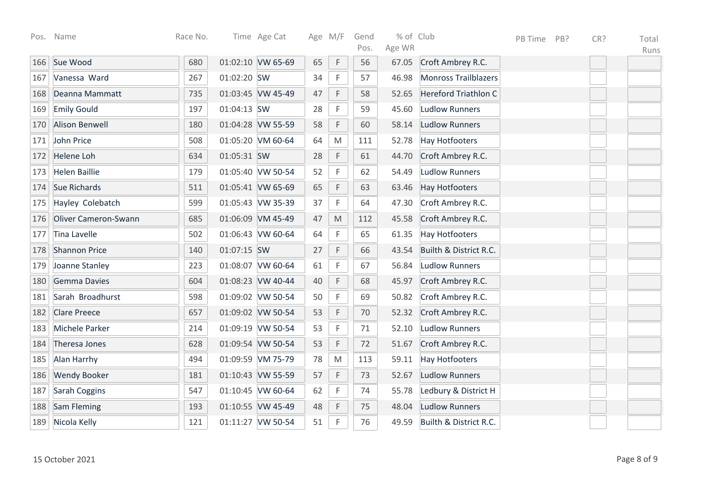|     | Pos. Name                   | Race No. |             | Time Age Cat      | Age M/F |                                                                                                            | Gend<br>Pos. | % of Club<br>Age WR |                             | PB Time | PB? | CR? | Total<br>Runs |
|-----|-----------------------------|----------|-------------|-------------------|---------|------------------------------------------------------------------------------------------------------------|--------------|---------------------|-----------------------------|---------|-----|-----|---------------|
| 166 | Sue Wood                    | 680      |             | 01:02:10 VW 65-69 | 65      | $\mathsf F$                                                                                                | 56           | 67.05               | Croft Ambrey R.C.           |         |     |     |               |
| 167 | Vanessa Ward                | 267      | 01:02:20 SW |                   | 34      | F                                                                                                          | 57           | 46.98               | <b>Monross Trailblazers</b> |         |     |     |               |
| 168 | Deanna Mammatt              | 735      |             | 01:03:45 VW 45-49 | 47      | F                                                                                                          | 58           | 52.65               | Hereford Triathlon C        |         |     |     |               |
| 169 | <b>Emily Gould</b>          | 197      | 01:04:13 SW |                   | 28      | F                                                                                                          | 59           | 45.60               | <b>Ludlow Runners</b>       |         |     |     |               |
| 170 | <b>Alison Benwell</b>       | 180      |             | 01:04:28 VW 55-59 | 58      | $\mathsf F$                                                                                                | 60           | 58.14               | <b>Ludlow Runners</b>       |         |     |     |               |
| 171 | John Price                  | 508      |             | 01:05:20 VM 60-64 | 64      | $\mathsf{M}% _{T}=\mathsf{M}_{T}\!\left( a,b\right) ,\ \mathsf{M}_{T}=\mathsf{M}_{T}\!\left( a,b\right) ,$ | 111          | 52.78               | <b>Hay Hotfooters</b>       |         |     |     |               |
| 172 | <b>Helene Loh</b>           | 634      | 01:05:31 SW |                   | 28      | $\mathsf F$                                                                                                | 61           | 44.70               | Croft Ambrey R.C.           |         |     |     |               |
| 173 | <b>Helen Baillie</b>        | 179      |             | 01:05:40 VW 50-54 | 52      | $\mathsf F$                                                                                                | 62           | 54.49               | <b>Ludlow Runners</b>       |         |     |     |               |
| 174 | Sue Richards                | 511      |             | 01:05:41 VW 65-69 | 65      | $\mathsf F$                                                                                                | 63           | 63.46               | <b>Hay Hotfooters</b>       |         |     |     |               |
| 175 | Hayley Colebatch            | 599      |             | 01:05:43 VW 35-39 | 37      | $\mathsf F$                                                                                                | 64           | 47.30               | Croft Ambrey R.C.           |         |     |     |               |
| 176 | <b>Oliver Cameron-Swann</b> | 685      |             | 01:06:09 VM 45-49 | 47      | $\mathsf{M}% _{T}=\mathsf{M}_{T}\!\left( a,b\right) ,\ \mathsf{M}_{T}=\mathsf{M}_{T}\!\left( a,b\right) ,$ | 112          | 45.58               | Croft Ambrey R.C.           |         |     |     |               |
| 177 | Tina Lavelle                | 502      |             | 01:06:43 VW 60-64 | 64      | $\mathsf F$                                                                                                | 65           | 61.35               | <b>Hay Hotfooters</b>       |         |     |     |               |
| 178 | <b>Shannon Price</b>        | 140      | 01:07:15 SW |                   | 27      | F                                                                                                          | 66           | 43.54               | Builth & District R.C.      |         |     |     |               |
| 179 | Joanne Stanley              | 223      |             | 01:08:07 VW 60-64 | 61      | F                                                                                                          | 67           | 56.84               | <b>Ludlow Runners</b>       |         |     |     |               |
| 180 | Gemma Davies                | 604      |             | 01:08:23 VW 40-44 | 40      | $\mathsf F$                                                                                                | 68           | 45.97               | Croft Ambrey R.C.           |         |     |     |               |
| 181 | Sarah Broadhurst            | 598      |             | 01:09:02 VW 50-54 | 50      | $\mathsf F$                                                                                                | 69           | 50.82               | Croft Ambrey R.C.           |         |     |     |               |
| 182 | <b>Clare Preece</b>         | 657      |             | 01:09:02 VW 50-54 | 53      | $\mathsf F$                                                                                                | 70           | 52.32               | Croft Ambrey R.C.           |         |     |     |               |
| 183 | Michele Parker              | 214      |             | 01:09:19 VW 50-54 | 53      | $\mathsf F$                                                                                                | 71           | 52.10               | <b>Ludlow Runners</b>       |         |     |     |               |
| 184 | Theresa Jones               | 628      |             | 01:09:54 VW 50-54 | 53      | $\mathsf F$                                                                                                | 72           | 51.67               | Croft Ambrey R.C.           |         |     |     |               |
| 185 | Alan Harrhy                 | 494      |             | 01:09:59 VM 75-79 | 78      | M                                                                                                          | 113          | 59.11               | <b>Hay Hotfooters</b>       |         |     |     |               |
| 186 | <b>Wendy Booker</b>         | 181      |             | 01:10:43 VW 55-59 | 57      | $\mathsf F$                                                                                                | 73           | 52.67               | <b>Ludlow Runners</b>       |         |     |     |               |
| 187 | Sarah Coggins               | 547      |             | 01:10:45 VW 60-64 | 62      | F                                                                                                          | 74           | 55.78               | Ledbury & District H        |         |     |     |               |
| 188 | Sam Fleming                 | 193      |             | 01:10:55 VW 45-49 | 48      | $\mathsf F$                                                                                                | 75           | 48.04               | <b>Ludlow Runners</b>       |         |     |     |               |
| 189 | Nicola Kelly                | 121      |             | 01:11:27 VW 50-54 | 51      | F                                                                                                          | 76           | 49.59               | Builth & District R.C.      |         |     |     |               |